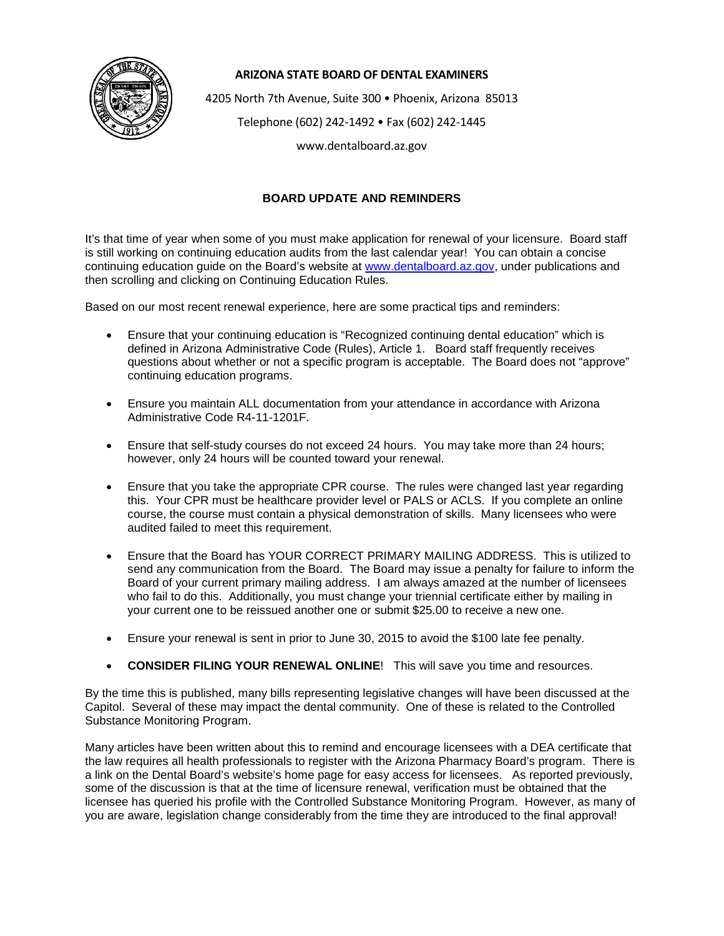

## **ARIZONA STATE BOARD OF DENTAL EXAMINERS**

4205 North 7th Avenue, Suite 300 • Phoenix, Arizona 85013

Telephone (602) 242-1492 • Fax (602) 242-1445

www.dentalboard.az.gov

## **BOARD UPDATE AND REMINDERS**

It's that time of year when some of you must make application for renewal of your licensure. Board staff is still working on continuing education audits from the last calendar year! You can obtain a concise continuing education guide on the Board's website at [www.dentalboard.az.gov,](http://www.dentalboard.az.gov/) under publications and then scrolling and clicking on Continuing Education Rules.

Based on our most recent renewal experience, here are some practical tips and reminders:

- Ensure that your continuing education is "Recognized continuing dental education" which is defined in Arizona Administrative Code (Rules), Article 1. Board staff frequently receives questions about whether or not a specific program is acceptable. The Board does not "approve" continuing education programs.
- Ensure you maintain ALL documentation from your attendance in accordance with Arizona Administrative Code R4-11-1201F.
- Ensure that self-study courses do not exceed 24 hours. You may take more than 24 hours; however, only 24 hours will be counted toward your renewal.
- Ensure that you take the appropriate CPR course. The rules were changed last year regarding this. Your CPR must be healthcare provider level or PALS or ACLS. If you complete an online course, the course must contain a physical demonstration of skills. Many licensees who were audited failed to meet this requirement.
- Ensure that the Board has YOUR CORRECT PRIMARY MAILING ADDRESS. This is utilized to send any communication from the Board. The Board may issue a penalty for failure to inform the Board of your current primary mailing address. I am always amazed at the number of licensees who fail to do this. Additionally, you must change your triennial certificate either by mailing in your current one to be reissued another one or submit \$25.00 to receive a new one.
- Ensure your renewal is sent in prior to June 30, 2015 to avoid the \$100 late fee penalty.
- **CONSIDER FILING YOUR RENEWAL ONLINE!** This will save you time and resources.

By the time this is published, many bills representing legislative changes will have been discussed at the Capitol. Several of these may impact the dental community. One of these is related to the Controlled Substance Monitoring Program.

Many articles have been written about this to remind and encourage licensees with a DEA certificate that the law requires all health professionals to register with the Arizona Pharmacy Board's program. There is a link on the Dental Board's website's home page for easy access for licensees. As reported previously, some of the discussion is that at the time of licensure renewal, verification must be obtained that the licensee has queried his profile with the Controlled Substance Monitoring Program. However, as many of you are aware, legislation change considerably from the time they are introduced to the final approval!